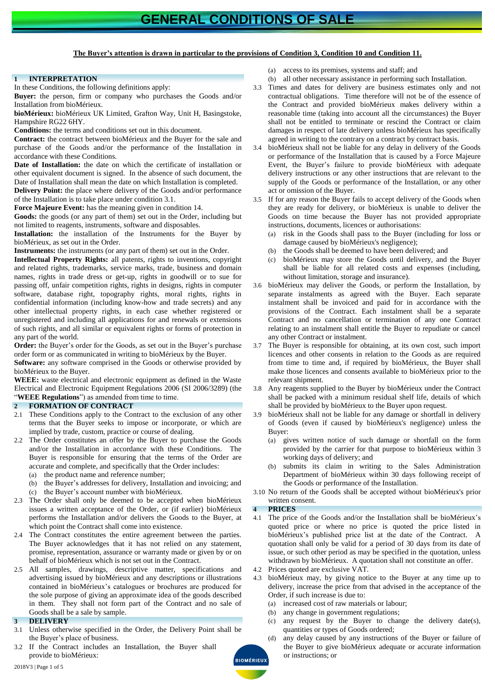# **The Buyer's attention is drawn in particular to the provisions of Condition [3,](#page-0-0) Condition [10](#page-1-0) and Condition [11.](#page-2-0)**

## **1 INTERPRETATION**

In these Conditions, the following definitions apply:

**Buyer:** the person, firm or company who purchases the Goods and/or Installation from bioMérieux.

**bioMérieux:** bioMérieux UK Limited, Grafton Way, Unit H, Basingstoke, Hampshire RG22 6HY.

**Conditions:** the terms and conditions set out in this document.

**Contract:** the contract between bioMérieux and the Buyer for the sale and purchase of the Goods and/or the performance of the Installation in accordance with these Conditions.

**Date of Installation:** the date on which the certificate of installation or other equivalent document is signed. In the absence of such document, the Date of Installation shall mean the date on which Installation is completed. **Delivery Point:** the place where delivery of the Goods and/or performance

of the Installation is to take place under condition [3.1.](#page-0-1) **Force Majeure Event:** has the meaning given in condition [14.](#page-3-0)

**Goods:** the goods (or any part of them) set out in the Order, including but not limited to reagents, instruments, software and disposables.

Installation: the installation of the Instruments for the Buyer by bioMérieux, as set out in the Order.

**Instruments:** the instruments (or any part of them) set out in the Order.

**Intellectual Property Rights:** all patents, rights to inventions, copyright and related rights, trademarks, service marks, trade, business and domain names, rights in trade dress or get-up, rights in goodwill or to sue for passing off, unfair competition rights, rights in designs, rights in computer software, database right, topography rights, moral rights, rights in confidential information (including know-how and trade secrets) and any other intellectual property rights, in each case whether registered or unregistered and including all applications for and renewals or extensions of such rights, and all similar or equivalent rights or forms of protection in any part of the world.

**Order:** the Buyer's order for the Goods, as set out in the Buyer's purchase order form or as communicated in writing to bioMérieux by the Buyer.

**Software:** any software comprised in the Goods or otherwise provided by bioMérieux to the Buyer.

**WEEE:** waste electrical and electronic equipment as defined in the Waste Electrical and Electronic Equipment Regulations 2006 (SI 2006/3289) (the "**WEEE Regulations**") as amended from time to time.

### **2 FORMATION OF CONTRACT**

- 2.1 These Conditions apply to the Contract to the exclusion of any other terms that the Buyer seeks to impose or incorporate, or which are implied by trade, custom, practice or course of dealing.
- 2.2 The Order constitutes an offer by the Buyer to purchase the Goods and/or the Installation in accordance with these Conditions. The Buyer is responsible for ensuring that the terms of the Order are accurate and complete, and specifically that the Order includes:
	- (a) the product name and reference number;
	- (b) the Buyer's addresses for delivery, Installation and invoicing; and
	- (c) the Buyer's account number with bioMérieux.
- 2.3 The Order shall only be deemed to be accepted when bioMérieux issues a written acceptance of the Order, or (if earlier) bioMérieux performs the Installation and/or delivers the Goods to the Buyer, at which point the Contract shall come into existence.
- 2.4 The Contract constitutes the entire agreement between the parties. The Buyer acknowledges that it has not relied on any statement, promise, representation, assurance or warranty made or given by or on behalf of bioMérieux which is not set out in the Contract.
- 2.5 All samples, drawings, descriptive matter, specifications and advertising issued by bioMérieux and any descriptions or illustrations contained in bioMérieux's catalogues or brochures are produced for the sole purpose of giving an approximate idea of the goods described in them. They shall not form part of the Contract and no sale of Goods shall be a sale by sample.

### <span id="page-0-0"></span>**3 DELIVERY**

- <span id="page-0-1"></span>3.1 Unless otherwise specified in the Order, the Delivery Point shall be the Buyer's place of business.
- 3.2 If the Contract includes an Installation, the Buyer shall provide to bioMérieux:
- (a) access to its premises, systems and staff; and
- (b) all other necessary assistance in performing such Installation.
- 3.3 Times and dates for delivery are business estimates only and not contractual obligations. Time therefore will not be of the essence of the Contract and provided bioMérieux makes delivery within a reasonable time (taking into account all the circumstances) the Buyer shall not be entitled to terminate or rescind the Contract or claim damages in respect of late delivery unless bioMérieux has specifically agreed in writing to the contrary on a contract by contract basis.
- 3.4 bioMérieux shall not be liable for any delay in delivery of the Goods or performance of the Installation that is caused by a Force Majeure Event, the Buyer's failure to provide bioMérieux with adequate delivery instructions or any other instructions that are relevant to the supply of the Goods or performance of the Installation, or any other act or omission of the Buyer.
- <span id="page-0-2"></span>3.5 If for any reason the Buyer fails to accept delivery of the Goods when they are ready for delivery, or bioMérieux is unable to deliver the Goods on time because the Buyer has not provided appropriate instructions, documents, licences or authorisations:
	- (a) risk in the Goods shall pass to the Buyer (including for loss or damage caused by bioMérieux's negligence);
	- (b) the Goods shall be deemed to have been delivered; and
	- (c) bioMérieux may store the Goods until delivery, and the Buyer shall be liable for all related costs and expenses (including, without limitation, storage and insurance).
- 3.6 bioMérieux may deliver the Goods, or perform the Installation, by separate instalments as agreed with the Buyer. Each separate instalment shall be invoiced and paid for in accordance with the provisions of the Contract. Each instalment shall be a separate Contract and no cancellation or termination of any one Contract relating to an instalment shall entitle the Buyer to repudiate or cancel any other Contract or instalment.
- 3.7 The Buyer is responsible for obtaining, at its own cost, such import licences and other consents in relation to the Goods as are required from time to time and, if required by bioMérieux, the Buyer shall make those licences and consents available to bioMérieux prior to the relevant shipment.
- 3.8 Any reagents supplied to the Buyer by bioMérieux under the Contract shall be packed with a minimum residual shelf life, details of which shall be provided by bioMérieux to the Buyer upon request.
- 3.9 bioMérieux shall not be liable for any damage or shortfall in delivery of Goods (even if caused by bioMérieux's negligence) unless the Buyer:
	- (a) gives written notice of such damage or shortfall on the form provided by the carrier for that purpose to bioMérieux within 3 working days of delivery; and
	- (b) submits its claim in writing to the Sales Administration Department of bioMérieux within 30 days following receipt of the Goods or performance of the Installation.
- 3.10 No return of the Goods shall be accepted without bioMérieux's prior written consent.

# **4 PRICES**

- 4.1 The price of the Goods and/or the Installation shall be bioMérieux's quoted price or where no price is quoted the price listed in bioMérieux's published price list at the date of the Contract. A quotation shall only be valid for a period of 30 days from its date of issue, or such other period as may be specified in the quotation, unless withdrawn by bioMérieux. A quotation shall not constitute an offer.
- 4.2 Prices quoted are exclusive VAT.
- 4.3 bioMérieux may, by giving notice to the Buyer at any time up to delivery, increase the price from that advised in the acceptance of the Order, if such increase is due to:
	- (a) increased cost of raw materials or labour;
	- (b) any change in government regulations;
	- (c) any request by the Buyer to change the delivery date(s), quantities or types of Goods ordered;
- (d) any delay caused by any instructions of the Buyer or failure of the Buyer to give bioMérieux adequate or accurate information or instructions; or**BIOMÉRIEU**)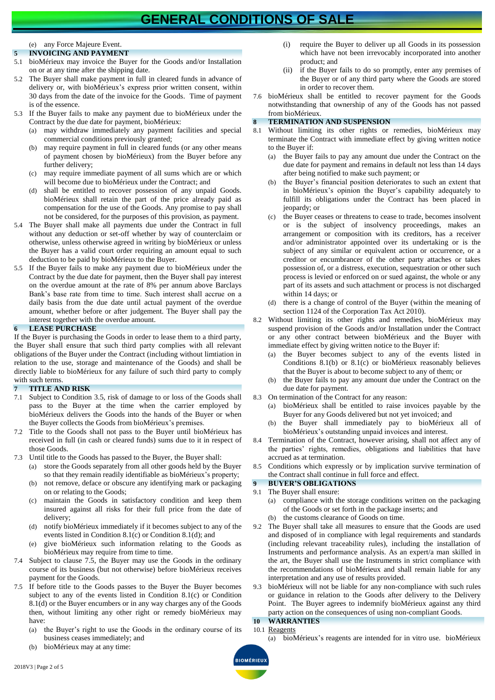# **GENERAL CONDITIONS OF SALE**

# (e) any Force Majeure Event.

### **5 INVOICING AND PAYMENT**

- 5.1 bioMérieux may invoice the Buyer for the Goods and/or Installation on or at any time after the shipping date.
- 5.2 The Buyer shall make payment in full in cleared funds in advance of delivery or, with bioMérieux's express prior written consent, within 30 days from the date of the invoice for the Goods. Time of payment is of the essence.
- 5.3 If the Buyer fails to make any payment due to bioMérieux under the Contract by the due date for payment, bioMérieux:
	- (a) may withdraw immediately any payment facilities and special commercial conditions previously granted;
	- (b) may require payment in full in cleared funds (or any other means of payment chosen by bioMérieux) from the Buyer before any further delivery;
	- (c) may require immediate payment of all sums which are or which will become due to bioMérieux under the Contract; and
	- (d) shall be entitled to recover possession of any unpaid Goods. bioMérieux shall retain the part of the price already paid as compensation for the use of the Goods. Any promise to pay shall not be considered, for the purposes of this provision, as payment.
- 5.4 The Buyer shall make all payments due under the Contract in full without any deduction or set-off whether by way of counterclaim or otherwise, unless otherwise agreed in writing by bioMérieux or unless the Buyer has a valid court order requiring an amount equal to such deduction to be paid by bioMérieux to the Buyer.
- 5.5 If the Buyer fails to make any payment due to bioMérieux under the Contract by the due date for payment, then the Buyer shall pay interest on the overdue amount at the rate of 8% per annum above Barclays Bank's base rate from time to time. Such interest shall accrue on a daily basis from the due date until actual payment of the overdue amount, whether before or after judgement. The Buyer shall pay the interest together with the overdue amount.

### **6 LEASE PURCHASE**

If the Buyer is purchasing the Goods in order to lease them to a third party, the Buyer shall ensure that such third party complies with all relevant obligations of the Buyer under the Contract (including without limtiation in relation to the use, storage and maintenance of the Goods) and shall be directly liable to bioMérieux for any failure of such third party to comply with such terms.

### **7 TITLE AND RISK**

- 7.1 Subject to Condition [3.5,](#page-0-2) risk of damage to or loss of the Goods shall pass to the Buyer at the time when the carrier employed by bioMérieux delivers the Goods into the hands of the Buyer or when the Buyer collects the Goods from bioMérieux's premises.
- 7.2 Title to the Goods shall not pass to the Buyer until bioMérieux has received in full (in cash or cleared funds) sums due to it in respect of those Goods.
- 7.3 Until title to the Goods has passed to the Buyer, the Buyer shall:
	- (a) store the Goods separately from all other goods held by the Buyer so that they remain readily identifiable as bioMérieux's property;
	- (b) not remove, deface or obscure any identifying mark or packaging on or relating to the Goods;
	- maintain the Goods in satisfactory condition and keep them insured against all risks for their full price from the date of delivery;
	- (d) notify bioMérieux immediately if it becomes subject to any of the events listed in Condition [8.1\(c\)](#page-1-1) or Condition [8.1\(d\);](#page-1-2) and
	- (e) give bioMérieux such information relating to the Goods as bioMérieux may require from time to time.
- 7.4 Subject to clause [7.5,](#page-1-3) the Buyer may use the Goods in the ordinary course of its business (but not otherwise) before bioMérieux receives payment for the Goods.
- <span id="page-1-3"></span>7.5 If before title to the Goods passes to the Buyer the Buyer becomes subject to any of the events listed in Condition [8.1\(c\)](#page-1-1) or Condition [8.1\(d\)](#page-1-2) or the Buyer encumbers or in any way charges any of the Goods then, without limiting any other right or remedy bioMérieux may have:
	- (a) the Buyer's right to use the Goods in the ordinary course of its business ceases immediately; and
	- (b) bioMérieux may at any time:
- (i) require the Buyer to deliver up all Goods in its possession which have not been irrevocably incorporated into another product; and
- (ii) if the Buyer fails to do so promptly, enter any premises of the Buyer or of any third party where the Goods are stored in order to recover them.
- 7.6 bioMérieux shall be entitled to recover payment for the Goods notwithstanding that ownership of any of the Goods has not passed from bioMérieux.

## **8 TERMINATION AND SUSPENSION**

- <span id="page-1-4"></span><span id="page-1-1"></span>Without limiting its other rights or remedies, bioMérieux may terminate the Contract with immediate effect by giving written notice to the Buyer if:
	- (a) the Buyer fails to pay any amount due under the Contract on the due date for payment and remains in default not less than 14 days after being notified to make such payment; or
	- (b) the Buyer's financial position deteriorates to such an extent that in bioMérieux's opinion the Buyer's capability adequately to fulfill its obligations under the Contract has been placed in jeopardy; or
	- (c) the Buyer ceases or threatens to cease to trade, becomes insolvent or is the subject of insolvency proceedings, makes an arrangement or composition with its creditors, has a receiver and/or administrator appointed over its undertaking or is the subject of any similar or equivalent action or occurrence, or a creditor or encumbrancer of the other party attaches or takes possession of, or a distress, execution, sequestration or other such process is levied or enforced on or sued against, the whole or any part of its assets and such attachment or process is not discharged within 14 days; or
	- (d) there is a change of control of the Buyer (within the meaning of section 1124 of the Corporation Tax Act 2010).
- <span id="page-1-2"></span>8.2 Without limiting its other rights and remedies, bioMérieux may suspend provision of the Goods and/or Installation under the Contract or any other contract between bioMérieux and the Buyer with immediate effect by giving written notice to the Buyer if:
	- (a) the Buyer becomes subject to any of the events listed in Conditions [8.1\(b\)](#page-1-4) or [8.1\(c\)](#page-1-1) or bioMérieux reasonably believes that the Buyer is about to become subject to any of them; or
	- (b) the Buyer fails to pay any amount due under the Contract on the due date for payment.
- 8.3 On termination of the Contract for any reason:
	- (a) bioMérieux shall be entitled to raise invoices payable by the Buyer for any Goods delivered but not yet invoiced; and
	- (b) the Buyer shall immediately pay to bioMérieux all of bioMérieux's outstanding unpaid invoices and interest.
- 8.4 Termination of the Contract, however arising, shall not affect any of the parties' rights, remedies, obligations and liabilities that have accrued as at termination.
- 8.5 Conditions which expressly or by implication survive termination of the Contract shall continue in full force and effect.

# **9 BUYER'S OBLIGATIONS**

- 9.1 The Buyer shall ensure:
	- (a) compliance with the storage conditions written on the packaging of the Goods or set forth in the package inserts; and
- (b) the customs clearance of Goods on time.
- 9.2 The Buyer shall take all measures to ensure that the Goods are used and disposed of in compliance with legal requirements and standards (including relevant traceability rules), including the installation of Instruments and performance analysis. As an expert/a man skilled in the art, the Buyer shall use the Instruments in strict compliance with the recommendations of bioMérieux and shall remain liable for any interpretation and any use of results provided.
- 9.3 bioMérieux will not be liable for any non-compliance with such rules or guidance in relation to the Goods after delivery to the Delivery Point. The Buyer agrees to indemnify bioMérieux against any third party action on the consequences of using non-compliant Goods.

#### <span id="page-1-5"></span><span id="page-1-0"></span>**10 WARRANTIES** 10.1 Reagents

(a) bioMérieux's reagents are intended for in vitro use. bioMérieux

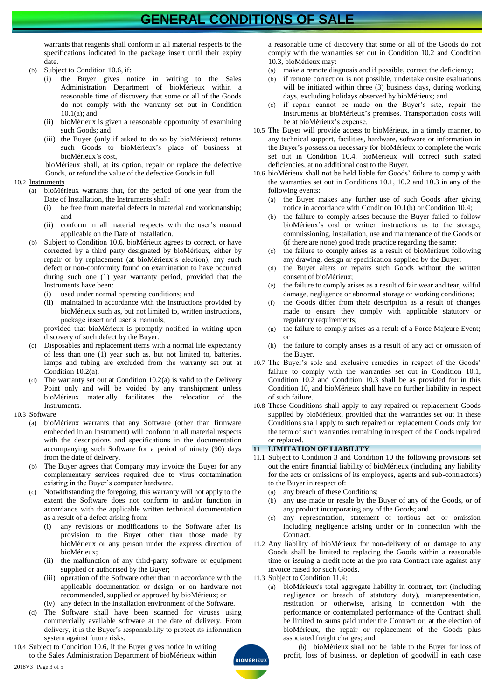# **GENERAL CONDITIONS OF SALE**

warrants that reagents shall conform in all material respects to the specifications indicated in the package insert until their expiry date.

- <span id="page-2-5"></span>(b) Subject to Condition [10.6,](#page-2-1) if:
	- (i) the Buyer gives notice in writing to the Sales Administration Department of bioMérieux within a reasonable time of discovery that some or all of the Goods do not comply with the warranty set out in Condition [10.1\(a\);](#page-1-5) and
	- (ii) bioMérieux is given a reasonable opportunity of examining such Goods; and
	- (iii) the Buyer (only if asked to do so by bioMérieux) returns such Goods to bioMérieux's place of business at bioMérieux's cost,

bioMérieux shall, at its option, repair or replace the defective Goods, or refund the value of the defective Goods in full.

### <span id="page-2-2"></span>10.2 Instruments

- (a) bioMérieux warrants that, for the period of one year from the Date of Installation, the Instruments shall:
	- (i) be free from material defects in material and workmanship; and
	- (ii) conform in all material respects with the user's manual applicable on the Date of Installation.
- (b) Subject to Condition [10.6,](#page-2-1) bioMérieux agrees to correct, or have corrected by a third party designated by bioMérieux, either by repair or by replacement (at bioMérieux's election), any such defect or non-conformity found on examination to have occurred during such one (1) year warranty period, provided that the Instruments have been:
	- (i) used under normal operating conditions; and
	- (ii) maintained in accordance with the instructions provided by bioMérieux such as, but not limited to, written instructions, package insert and user's manuals,

provided that bioMérieux is promptly notified in writing upon discovery of such defect by the Buyer.

- (c) Disposables and replacement items with a normal life expectancy of less than one (1) year such as, but not limited to, batteries, lamps and tubing are excluded from the warranty set out at Conditio[n 10.2\(](#page-2-2)a).
- The warranty set out at Condition  $10.2(a)$  is valid to the Delivery Point only and will be voided by any transhipment unless bioMérieux materially facilitates the relocation of the Instruments.
- <span id="page-2-3"></span>10.3 Software
	- (a) bioMérieux warrants that any Software (other than firmware embedded in an Instrument) will conform in all material respects with the descriptions and specifications in the documentation accompanying such Software for a period of ninety (90) days from the date of delivery.
	- (b) The Buyer agrees that Company may invoice the Buyer for any complementary services required due to virus contamination existing in the Buyer's computer hardware.
	- (c) Notwithstanding the foregoing, this warranty will not apply to the extent the Software does not conform to and/or function in accordance with the applicable written technical documentation as a result of a defect arising from:
		- (i) any revisions or modifications to the Software after its provision to the Buyer other than those made by bioMérieux or any person under the express direction of bioMérieux;
		- (ii) the malfunction of any third-party software or equipment supplied or authorised by the Buyer;
		- (iii) operation of the Software other than in accordance with the applicable documentation or design, or on hardware not recommended, supplied or approved by bioMérieux; or
		- (iv) any defect in the installation environment of the Software.
	- (d) The Software shall have been scanned for viruses using commercially available software at the date of delivery. From delivery, it is the Buyer's responsibility to protect its information system against future risks.
- <span id="page-2-4"></span>10.4 Subject to Conditio[n 10.6,](#page-2-1) if the Buyer gives notice in writing to the Sales Administration Department of bioMérieux within

a reasonable time of discovery that some or all of the Goods do not comply with the warranties set out in Condition [10.2](#page-2-2) and Condition [10.3,](#page-2-3) bioMérieux may:

- (a) make a remote diagnosis and if possible, correct the deficiency;
- (b) if remote correction is not possible, undertake onsite evaluations will be initiated within three (3) business days, during working days, excluding holidays observed by bioMérieux; and
- (c) if repair cannot be made on the Buyer's site, repair the Instruments at bioMérieux's premises. Transportation costs will be at bioMérieux's expense.
- 10.5 The Buyer will provide access to bioMérieux, in a timely manner, to any technical support, facilities, hardware, software or information in the Buyer's possession necessary for bioMérieux to complete the work set out in Condition [10.4.](#page-2-4) bioMérieux will correct such stated deficiencies, at no additional cost to the Buyer.
- <span id="page-2-1"></span>10.6 bioMérieux shall not be held liable for Goods' failure to comply with the warranties set out in Conditions [10.1,](#page-1-5) [10.2](#page-2-2) and [10.3](#page-2-3) in any of the following events:
	- (a) the Buyer makes any further use of such Goods after giving notice in accordance with Conditio[n 10.1\(b\)](#page-2-5) or Condition [10.4;](#page-2-4)
	- the failure to comply arises because the Buyer failed to follow bioMérieux's oral or written instructions as to the storage, commissioning, installation, use and maintenance of the Goods or (if there are none) good trade practice regarding the same;
	- (c) the failure to comply arises as a result of bioMérieux following any drawing, design or specification supplied by the Buyer;
	- (d) the Buyer alters or repairs such Goods without the written consent of bioMérieux;
	- (e) the failure to comply arises as a result of fair wear and tear, wilful damage, negligence or abnormal storage or working conditions;
	- (f) the Goods differ from their description as a result of changes made to ensure they comply with applicable statutory or regulatory requirements;
	- (g) the failure to comply arises as a result of a Force Majeure Event; or
	- (h) the failure to comply arises as a result of any act or omission of the Buyer.
- 10.7 The Buyer's sole and exclusive remedies in respect of the Goods' failure to comply with the warranties set out in Condition [10.1,](#page-1-5) Condition [10.2](#page-2-2) and Condition [10.3](#page-2-3) shall be as provided for in this Condition [10,](#page-1-0) and bioMérieux shall have no further liability in respect of such failure.
- 10.8 These Conditions shall apply to any repaired or replacement Goods supplied by bioMérieux, provided that the warranties set out in these Conditions shall apply to such repaired or replacement Goods only for the term of such warranties remaining in respect of the Goods repaired or replaced.

### **11 LIMITATION OF LIABILITY**

- <span id="page-2-0"></span>11.1 Subject to Condition [3](#page-0-0) and Condition [10](#page-1-0) the following provisions set out the entire financial liability of bioMérieux (including any liability for the acts or omissions of its employees, agents and sub-contractors) to the Buyer in respect of:
	- (a) any breach of these Conditions;
	- (b) any use made or resale by the Buyer of any of the Goods, or of any product incorporating any of the Goods; and
	- (c) any representation, statement or tortious act or omission including negligence arising under or in connection with the **Contract.**
- 11.2 Any liability of bioMérieux for non-delivery of or damage to any Goods shall be limited to replacing the Goods within a reasonable time or issuing a credit note at the pro rata Contract rate against any invoice raised for such Goods.
- 11.3 Subject to Conditio[n 11.4:](#page-3-1)
	- (a) bioMérieux's total aggregate liability in contract, tort (including negligence or breach of statutory duty), misrepresentation, restitution or otherwise, arising in connection with the performance or contemplated performance of the Contract shall be limited to sums paid under the Contract or, at the election of bioMérieux, the repair or replacement of the Goods plus associated freight charges; and

(b) bioMérieux shall not be liable to the Buyer for loss of profit, loss of business, or depletion of goodwill in each case

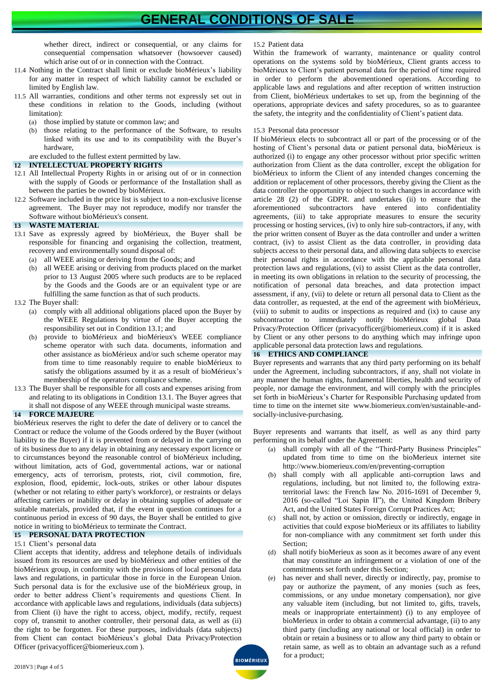whether direct, indirect or consequential, or any claims for consequential compensation whatsoever (howsoever caused) which arise out of or in connection with the Contract.

- <span id="page-3-1"></span>11.4 Nothing in the Contract shall limit or exclude bioMérieux's liability for any matter in respect of which liability cannot be excluded or limited by English law.
- 11.5 All warranties, conditions and other terms not expressly set out in these conditions in relation to the Goods, including (without limitation):
	- (a) those implied by statute or common law; and
	- (b) those relating to the performance of the Software, to results linked with its use and to its compatibility with the Buyer's hardware,

are excluded to the fullest extent permitted by law.

### **12 INTELLECTUAL PROPERTY RIGHTS**

- 12.1 All Intellectual Property Rights in or arising out of or in connection with the supply of Goods or performance of the Installation shall as between the parties be owned by bioMérieux.
- 12.2 Software included in the price list is subject to a non-exclusive license agreement. The Buyer may not reproduce, modify nor transfer the Software without bioMérieux's consent.

### **13 WASTE MATERIAL**

- <span id="page-3-2"></span>13.1 Save as expressly agreed by bioMérieux, the Buyer shall be responsible for financing and organising the collection, treatment, recovery and environmentally sound disposal of:
	- (a) all WEEE arising or deriving from the Goods; and
	- (b) all WEEE arising or deriving from products placed on the market prior to 13 August 2005 where such products are to be replaced by the Goods and the Goods are or an equivalent type or are fulfilling the same function as that of such products.
- 13.2 The Buyer shall:
	- (a) comply with all additional obligations placed upon the Buyer by the WEEE Regulations by virtue of the Buyer accepting the responsibility set out in Condition [13.1;](#page-3-2) and
	- (b) provide to bioMérieux and bioMérieux's WEEE compliance scheme operator with such data. documents, information and other assistance as bioMérieux and/or such scheme operator may from time to time reasonably require to enable bioMérieux to satisfy the obligations assumed by it as a result of bioMérieux's membership of the operators compliance scheme.
- 13.3 The Buyer shall be responsible for all costs and expenses arising from and relating to its obligations in Conditio[n 13.1.](#page-3-2) The Buyer agrees that it shall not dispose of any WEEE through municipal waste streams.

### <span id="page-3-0"></span>**14 FORCE MAJEURE**

bioMérieux reserves the right to defer the date of delivery or to cancel the Contract or reduce the volume of the Goods ordered by the Buyer (without liability to the Buyer) if it is prevented from or delayed in the carrying on of its business due to any delay in obtaining any necessary export licence or to circumstances beyond the reasonable control of bioMérieux including, without limitation, acts of God, governmental actions, war or national emergency, acts of terrorism, protests, riot, civil commotion, fire, explosion, flood, epidemic, lock-outs, strikes or other labour disputes (whether or not relating to either party's workforce), or restraints or delays affecting carriers or inability or delay in obtaining supplies of adequate or suitable materials, provided that, if the event in question continues for a continuous period in excess of 90 days, the Buyer shall be entitled to give notice in writing to bioMérieux to terminate the Contract.

# **15 PERSONAL DATA PROTECTION**

## 15.1 Client's personal data

Client accepts that identity, address and telephone details of individuals issued from its resources are used by bioMérieux and other entities of the bioMérieux group, in conformity with the provisions of local personal data laws and regulations, in particular those in force in the European Union. Such personal data is for the exclusive use of the bioMérieux group, in order to better address Client's requirements and questions Client. In accordance with applicable laws and regulations, individuals (data subjects) from Client (i) have the right to access, object, modify, rectify, request copy of, transmit to another controller, their personal data, as well as (ii) the right to be forgotten. For these purposes, individuals (data subjects) from Client can contact bioMérieux's global Data Privacy/Protection Officer (privacyofficer@biomerieux.com ).

15.2 Patient data

Within the framework of warranty, maintenance or quality control operations on the systems sold by bioMérieux, Client grants access to bioMérieux to Client's patient personal data for the period of time required in order to perform the abovementioned operations. According to applicable laws and regulations and after reception of written instruction from Client, bioMérieux undertakes to set up, from the beginning of the operations, appropriate devices and safety procedures, so as to guarantee the safety, the integrity and the confidentiality of Client's patient data.

### 15.3 Personal data processor

If bioMérieux elects to subcontract all or part of the processing or of the hosting of Client's personal data or patient personal data, bioMérieux is authorized (i) to engage any other processor without prior specific written authorization from Client as the data controller, except the obligation for bioMérieux to inform the Client of any intended changes concerning the addition or replacement of other processors, thereby giving the Client as the data controller the opportunity to object to such changes in accordance with article 28 (2) of the GDPR. and undertakes (ii) to ensure that the aforementioned subcontractors have entered into confidentiality agreements, (iii) to take appropriate measures to ensure the security processing or hosting services, (iv) to only hire sub-contractors, if any, with the prior written consent of Buyer as the data controller and under a written contract, (iv) to assist Client as the data controller, in providing data subjects access to their personal data, and allowing data subjects to exercise their personal rights in accordance with the applicable personal data protection laws and regulations, (vi) to assist Client as the data controller, in meeting its own obligations in relation to the security of processing, the notification of personal data breaches, and data protection impact assessment, if any, (vii) to delete or return all personal data to Client as the data controller, as requested, at the end of the agreement with bioMérieux, (viii) to submit to audits or inspections as required and (ix) to cause any subcontractor to immediately notify bioMérieux global Data Privacy/Protection Officer (privacyofficer@biomerieux.com) if it is asked by Client or any other persons to do anything which may infringe upon applicable personal data protection laws and regulations.

### **16 ETHICS AND COMPLIANCE**

Buyer represents and warrants that any third party performing on its behalf under the Agreement, including subcontractors, if any, shall not violate in any manner the human rights, fundamental liberties, health and security of people, nor damage the environment, and will comply with the principles set forth in bioMérieux's Charter for Responsible Purchasing updated from time to time on the internet site www.biomerieux.com/en/sustainable-andsocially-inclusive-purchasing.

Buyer represents and warrants that itself, as well as any third party performing on its behalf under the Agreement:

- (a) shall comply with all of the "Third-Party Business Principles" updated from time to time on the bioMerieux internet site http://www.biomerieux.com/en/preventing-corruption
- (b) shall comply with all applicable anti-corruption laws and regulations, including, but not limited to, the following extraterritorial laws: the French law No. 2016-1691 of December 9, 2016 (so-called "Loi Sapin II"), the United Kingdom Bribery Act, and the United States Foreign Corrupt Practices Act;
- shall not, by action or omission, directly or indirectly, engage in activities that could expose bioMerieux or its affiliates to liability for non-compliance with any commitment set forth under this Section;
- (d) shall notify bioMerieux as soon as it becomes aware of any event that may constitute an infringement or a violation of one of the commitments set forth under this Section;
- (e) has never and shall never, directly or indirectly, pay, promise to pay or authorize the payment, of any monies (such as fees, commissions, or any undue monetary compensation), nor give any valuable item (including, but not limited to, gifts, travels, meals or inappropriate entertainment) (i) to any employee of bioMerieux in order to obtain a commercial advantage, (ii) to any third party (including any national or local official) in order to obtain or retain a business or to allow any third party to obtain or retain same, as well as to obtain an advantage such as a refund for a product;